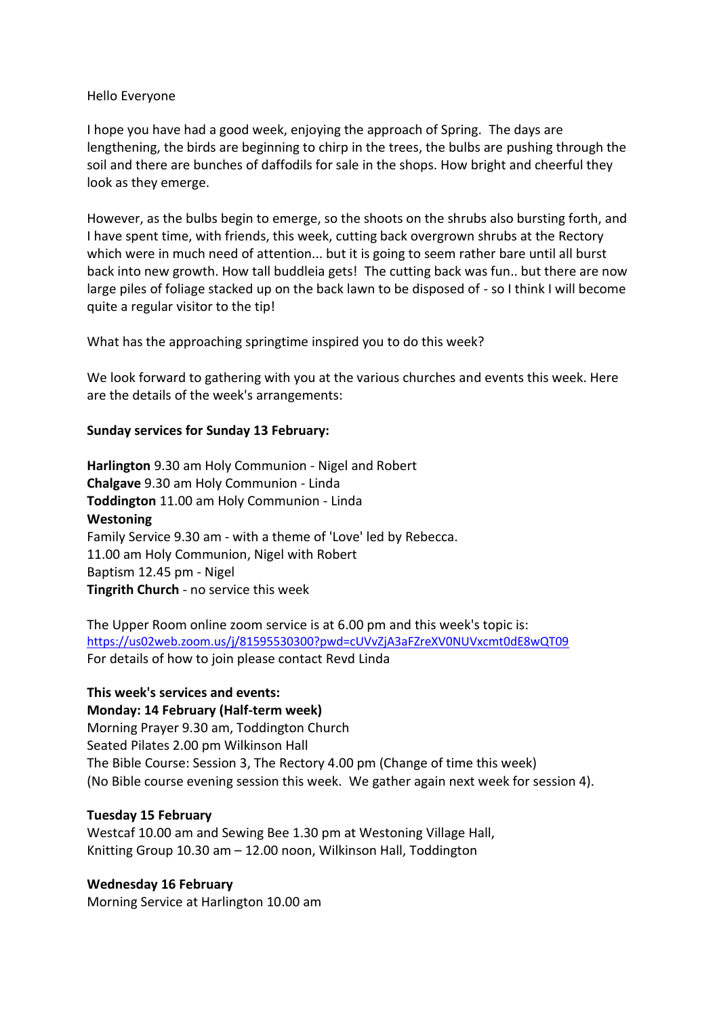#### Hello Everyone

I hope you have had a good week, enjoying the approach of Spring. The days are lengthening, the birds are beginning to chirp in the trees, the bulbs are pushing through the soil and there are bunches of daffodils for sale in the shops. How bright and cheerful they look as they emerge.

However, as the bulbs begin to emerge, so the shoots on the shrubs also bursting forth, and I have spent time, with friends, this week, cutting back overgrown shrubs at the Rectory which were in much need of attention... but it is going to seem rather bare until all burst back into new growth. How tall buddleia gets! The cutting back was fun.. but there are now large piles of foliage stacked up on the back lawn to be disposed of - so I think I will become quite a regular visitor to the tip!

What has the approaching springtime inspired you to do this week?

We look forward to gathering with you at the various churches and events this week. Here are the details of the week's arrangements:

# **Sunday services for Sunday 13 February:**

**Harlington** 9.30 am Holy Communion - Nigel and Robert **Chalgave** 9.30 am Holy Communion - Linda **Toddington** 11.00 am Holy Communion - Linda **Westoning**  Family Service 9.30 am - with a theme of 'Love' led by Rebecca. 11.00 am Holy Communion, Nigel with Robert Baptism 12.45 pm - Nigel **Tingrith Church** - no service this week

The Upper Room online zoom service is at 6.00 pm and this week's topic is: [https://us02web.zoom.us/j/81595530300?pwd=cUVvZjA3aFZreXV0NUVxcmt0dE8wQT09](https://emea01.safelinks.protection.outlook.com/?url=https%3A%2F%2Fus02web.zoom.us%2Fj%2F81595530300%3Fpwd%3DcUVvZjA3aFZreXV0NUVxcmt0dE8wQT09&data=04%7C01%7C%7C24ce92a571fc4068e7a408d9edfe55b0%7C84df9e7fe9f640afb435aaaaaaaaaaaa%7C1%7C0%7C637802498876241259%7CUnknown%7CTWFpbGZsb3d8eyJWIjoiMC4wLjAwMDAiLCJQIjoiV2luMzIiLCJBTiI6Ik1haWwiLCJXVCI6Mn0%3D%7C3000&sdata=wOyds4RcBC09NkFxc4qHDtugs97VWmsMfQiSwS5%2FQBI%3D&reserved=0) For details of how to join please contact Revd Linda

### **This week's services and events:**

**Monday: 14 February (Half-term week)** Morning Prayer 9.30 am, Toddington Church Seated Pilates 2.00 pm Wilkinson Hall The Bible Course: Session 3, The Rectory 4.00 pm (Change of time this week) (No Bible course evening session this week. We gather again next week for session 4).

### **Tuesday 15 February**

Westcaf 10.00 am and Sewing Bee 1.30 pm at Westoning Village Hall, Knitting Group 10.30 am – 12.00 noon, Wilkinson Hall, Toddington

### **Wednesday 16 February**

Morning Service at Harlington 10.00 am